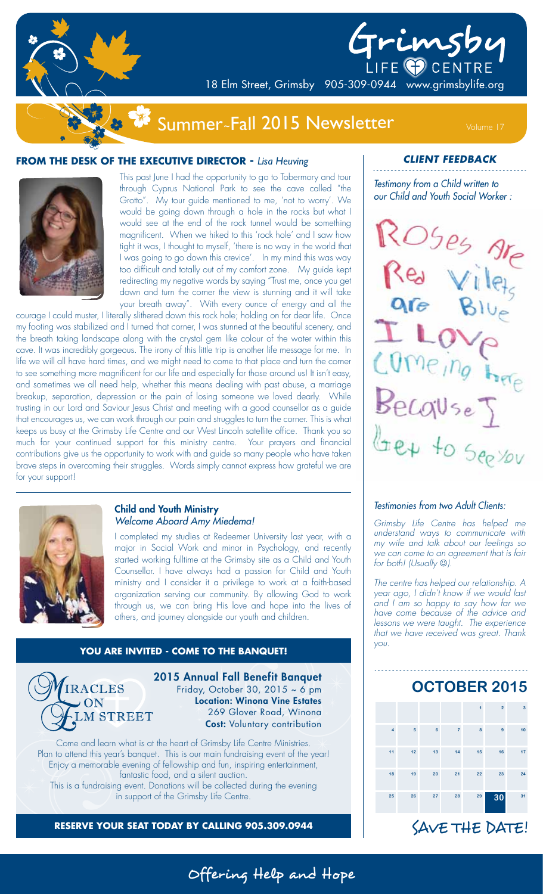

# LIFE O CENTRE

18 Elm Street, Grimsby 905-309-0944 www.grimsbylife.org

## Summer~Fall 2015 Newsletter Volume 17

#### **FROM THE DESK OF THE EXECUTIVE DIRECTOR -** *Lisa Heuving*



This past June I had the opportunity to go to Tobermory and tour through Cyprus National Park to see the cave called "the Grotto". My tour guide mentioned to me, 'not to worry'. We would be going down through a hole in the rocks but what I would see at the end of the rock tunnel would be something magnificent. When we hiked to this 'rock hole' and I saw how tight it was, I thought to myself, 'there is no way in the world that I was going to go down this crevice'. In my mind this was way too difficult and totally out of my comfort zone. My guide kept redirecting my negative words by saying "Trust me, once you get down and turn the corner the view is stunning and it will take your breath away". With every ounce of energy and all the

courage I could muster, I literally slithered down this rock hole; holding on for dear life. Once my footing was stabilized and I turned that corner, I was stunned at the beautiful scenery, and the breath taking landscape along with the crystal gem like colour of the water within this cave. It was incredibly gorgeous. The irony of this little trip is another life message for me. In life we will all have hard times, and we might need to come to that place and turn the corner to see something more magnificent for our life and especially for those around us! It isn't easy, and sometimes we all need help, whether this means dealing with past abuse, a marriage breakup, separation, depression or the pain of losing someone we loved dearly. While trusting in our Lord and Saviour Jesus Christ and meeting with a good counsellor as a guide that encourages us, we can work through our pain and struggles to turn the corner. This is what keeps us busy at the Grimsby Life Centre and our West Lincoln satellite office. Thank you so much for your continued support for this ministry centre. Your prayers and financial contributions give us the opportunity to work with and guide so many people who have taken brave steps in overcoming their struggles. Words simply cannot express how grateful we are for your support!



#### Child and Youth Ministry Welcome Aboard Amy Miedema!

I completed my studies at Redeemer University last year, with a major in Social Work and minor in Psychology, and recently started working fulltime at the Grimsby site as a Child and Youth Counsellor. I have always had a passion for Child and Youth ministry and I consider it a privilege to work at a faith-based organization serving our community. By allowing God to work through us, we can bring His love and hope into the lives of others, and journey alongside our youth and children.

#### **YOU ARE INVITED - COME TO THE BANQUET!**



2015 Annual Fall Benefit Banquet Friday, October 30, 2015  $\sim$  6 pm Location: Winona Vine Estates 269 Glover Road, Winona Cost: Voluntary contribution

Offering Help and Hope

Come and learn what is at the heart of Grimsby Life Centre Ministries. Plan to attend this year's banquet. This is our main fundraising event of the year! Enjoy a memorable evening of fellowship and fun, inspiring entertainment, fantastic food, and a silent auction. This is a fundraising event. Donations will be collected during the evening in support of the Grimsby Life Centre.

**RESERVE YOUR SEAT TODAY BY CALLING 905.309.0944**

**CLIENT FEEDBACK**

Testimony from a Child written to our Child and Youth Social Worker :

Grimsby

ROSes Are Red Wiley are Blue ILOVE Comeing here  $Bec$ quse Get to See You

#### Testimonies from two Adult Clients:

Grimsby Life Centre has helped me understand ways to communicate with my wife and talk about our feelings so we can come to an agreement that is fair for both! (Usually  $\circledcirc$ ).

The centre has helped our relationship. A year ago, I didn't know if we would last and I am so happy to say how far we have come because of the advice and lessons we were taught. The experience that we have received was great. Thank you.

# **OCTOBER 2015**